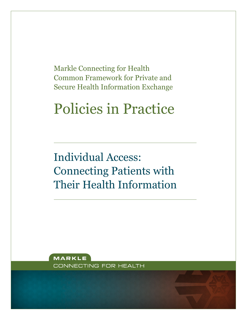Markle Connecting for Health Common Framework for Private and Secure Health Information Exchange

# Policies in Practice

Individual Access: Connecting Patients with Their Health Information

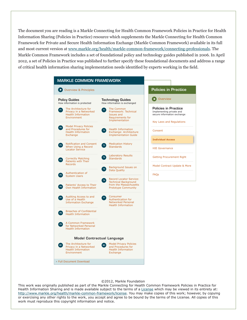The document you are reading is a Markle Connecting for Health Common Framework Policies in Practice for Health Information Sharing (Policies in Practice) resource which supplements the Markle Connecting for Health Common Framework for Private and Secure Health Information Exchange (Markle Common Framework) available in its full and most current version at [www.markle.org/health/markle-common-framework/connecting-professionals.](http://www.markle.org/health/markle-common-framework/connecting-professionals) The Markle Common Framework includes a set of foundational policy and technology guides published in 2006. In April 2012, a set of Policies in Practice was published to further specify these foundational documents and address a range of critical health information sharing implementation needs identified by experts working in the field.

#### Overview & Principles How information is protected How information is exchanged **P1 P2 P3 P4 P5 P6 P7 P8 P9 M1 Privacy in a Networked T7 T6 T5 T4 T3 T2 T1** The Architecture for Privacy in a Networked Health Information Environment Model Privacy Policies and Procedures for Health Information Exchange Notification and Consent When Using a Record Locator Service Correctly Matching Patients with Their Records Authentication of System Users Patients' Access to Their Own Health Information Auditing Access to and Use of a Health Information Exchange Breaches of Confidential Health Information A Common Framework for Networked Personal Health Information The Common Framework: Technical Issues and Requirements for Implementation Health Information Exchange: Architecture Implementation Guide Medication History **Standards** Laboratory Results **Standards** Background Issues on Data Quality Record Locator Service: Technical Background from the Massachusetts Prototype Community Consumer Authentication for Networked Personal Health Information The Architecture for Health Information Environment Full Document Download Model Privacy Policies and Procedures for Health Information Exchange MARKLE COMMON FRAMEWORK Policy Guides Model Contractual Language Technology Guides Implementing private and secure information exchange **D** Overview Policies in Practice Policies in Practice Key Laws and Regulations Consent **Individual Access** HIE Governance Getting Procurement Right Model Contract Update & More FAQs

#### ©2012, Markle Foundation

This work was originally published as part of the Markle Connecting for Health Common Framework Policies in Practice for Health Information Sharing and is made available subject to the terms of a [License](http://www.markle.org/health/markle-common-framework/license) which may be viewed in its entirety at: <http://www.markle.org/health/markle-common-framework/license>. You may make copies of this work; however, by copying or exercising any other rights to the work, you accept and agree to be bound by the terms of the License. All copies of this work must reproduce this copyright information and notice.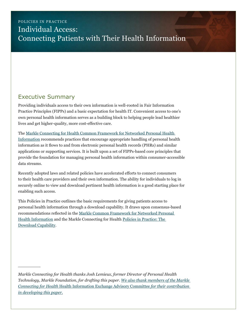## POLICIES IN PRACTICE Individual Access: Connecting Patients with Their Health Information

## Executive Summary

Providing individuals access to their own information is well-rooted in Fair Information Practice Principles (FIPPs) and a basic expectation for health IT. Convenient access to one's own personal health information serves as a building block to helping people lead healthier lives and get higher-quality, more cost-effective care.

The [Markle Connecting for Health Common Framework for Networked Personal Health](http://www.markle.org/health/markle-common-framework/connecting-consumers)  [Information](http://www.markle.org/health/markle-common-framework/connecting-consumers) recommends practices that encourage appropriate handling of personal health information as it flows to and from electronic personal health records (PHRs) and similar applications or supporting services. It is built upon a set of FIPPs-based core principles that provide the foundation for managing personal health information within consumer-accessible data streams.

Recently adopted laws and related policies have accelerated efforts to connect consumers to their health care providers and their own information. The ability for individuals to log in securely online to view and download pertinent health information is a good starting place for enabling such access.

This Policies in Practice outlines the basic requirements for giving patients access to personal health information through a download capability. It draws upon consensus-based recommendations reflected in the [Markle Common Framework for Networked Personal](http://www.markle.org/health/markle-common-framework/connecting-consumers)  [Health Information](http://www.markle.org/health/markle-common-framework/connecting-consumers) and the Markle Connecting for Health [Policies in Practice: The](http://www.markle.org/health/publications-briefs-health/1198-policies-practice-download-capability)  [Download Capability.](http://www.markle.org/health/publications-briefs-health/1198-policies-practice-download-capability)

*Markle Connecting for Health thanks Josh Lemieux, former Director of Personal Health Technology, Markle Foundation, for drafting this paper. [We also thank members of the Markle](#page-14-0)  Connecting for Health* [Health Information Exchange Advisory Committee](#page-14-0) *for their contribution [in developing this paper.](#page-14-0)*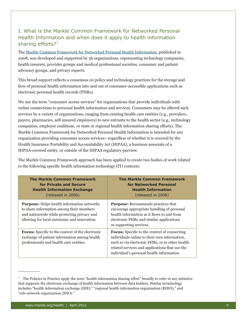### I. What is the Markle Common Framework for Networked Personal Health Information and when does it apply to health information sharing efforts? $1$

The [Markle Common Framework for Networked Personal Health Information,](http://www.markle.org/health/markle-common-framework/connecting-consumers) published in 2008, was developed and supported by 56 organizations, representing technology companies, health insurers, provider groups and medical professional societies, consumer and patient advocacy groups, and privacy experts.

This broad support reflects a consensus on policy and technology practices for the storage and flow of personal health information into and out of consumer-accessible applications such as electronic personal health records (PHRs).

We use the term "consumer access services" for organizations that provide individuals with online connections to personal health information and services. Consumers may be offered such services by a variety of organizations, ranging from existing health care entities (e.g., providers, payers, pharmacies, self-insured employers) to new entrants to the health sector (e.g., technology companies, employer coalitions, or state or regional health information sharing efforts). The Markle Common Framework for Networked Personal Health Information is intended for any organization providing consumer access services—regardless of whether it is covered by the Health Insurance Portability and Accountability Act (HIPAA), a business associate of a HIPAA-covered entity, or outside of the HIPAA regulatory purview.

The Markle Common Framework approach has been applied to create two bodies of work related to the following specific health information technology (IT) contexts:

| <b>The Markle Common Framework</b><br>for Private and Secure<br><b>Health Information Exchange</b><br>(released in 2006)                                                                    | <b>The Markle Common Framework</b><br>for Networked Personal<br><b>Health Information</b><br>(released in 2008)                                                                                                                                        |
|---------------------------------------------------------------------------------------------------------------------------------------------------------------------------------------------|--------------------------------------------------------------------------------------------------------------------------------------------------------------------------------------------------------------------------------------------------------|
| <b>Purpose:</b> Helps health information networks<br>to share information among their members<br>and nationwide while protecting privacy and<br>allowing for local autonomy and innovation. | <b>Purpose:</b> Recommends practices that<br>encourage appropriate handling of personal<br>health information as it flows to and from<br>electronic PHRs and similar applications<br>or supporting services.                                           |
| <b>Focus:</b> Specific to the context of the electronic<br>exchange of patient information among health<br>professionals and health care entities.                                          | <b>Focus:</b> Specific to the context of connecting<br>individuals online to their own information,<br>such as via electronic PHRs, or to other health-<br>related services and applications that use the<br>individual's personal health information. |

<sup>1</sup> The Policies in Practice apply the term "health information sharing effort" broadly to refer to any initiative that supports the electronic exchange of health information between data holders. Similar terminology includes "health information exchange (HIE)," "regional health information organization (RHIO)," and "sub-network organization (SNO)."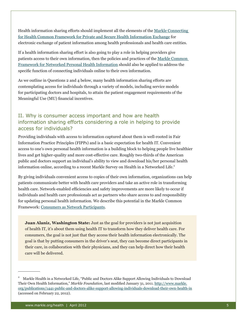Health information sharing efforts should implement all the elements of the [Markle Connecting](http://www.markle.org/health/markle-common-framework/connecting-professionals)  [for Health Common Framework for Private and Secure Health Information Exchange](http://www.markle.org/health/markle-common-framework/connecting-professionals) for electronic exchange of patient information among health professionals and health care entities.

If a health information sharing effort is also going to play a role in helping providers give patients access to their own information, then the policies and practices of the [Markle Common](http://www.markle.org/health/markle-common-framework/connecting-consumers)  [Framework for Networked Personal Health Information](http://www.markle.org/health/markle-common-framework/connecting-consumers) should also be applied to address the specific function of connecting individuals online to their own information.

As we outline in Questions 2 and 4 below, many health information sharing efforts are contemplating access for individuals through a variety of models, including service models for participating doctors and hospitals, to attain the patient engagement requirements of the Meaningful Use (MU) financial incentives.

#### II. Why is consumer access important and how are health information sharing efforts considering a role in helping to provide access for individuals?

Providing individuals with access to information captured about them is well-rooted in Fair Information Practice Principles (FIPPs) and is a basic expectation for health IT. Convenient access to one's own personal health information is a building block to helping people live healthier lives and get higher-quality and more cost-effective care. Roughly two-thirds of the American public and doctors support an individual's ability to view and download his/her personal health information online, according to a recent Markle Survey on Health in a Networked Life.<sup>2</sup>

By giving individuals convenient access to copies of their own information, organizations can help patients communicate better with health care providers and take an active role in transforming health care. Network-enabled efficiencies and safety improvements are more likely to occur if individuals and health care professionals act as partners who share access to and responsibility for updating personal health information. We describe this potential in the Markle Common Framework: [Consumers as Network Participants.](http://www.markle.org/health/markle-common-framework/connecting-consumers/network-participants)

**Juan Alaniz, Washington State:** Just as the goal for providers is not just acquisition of health IT, it's about them using health IT to transform how they deliver health care. For consumers, the goal is not just that they access their health information electronically. The goal is that by putting consumers in the driver's seat, they can become direct participants in their care, in collaboration with their physicians, and they can help direct how their health care will be delivered.

<sup>&</sup>lt;sup>2</sup> Markle Health in a Networked Life, "Public and Doctors Alike Support Allowing Individuals to Download Their Own Health Information," *Markle Foundation*, last modified January 31, 2011. [http://www.markle.](http://www.markle.org/publications/1441-public-and-doctors-alike-support-allowing-individuals-download-their-own-health-in) [org/publications/1441-public-and-doctors-alike-support-allowing-individuals-download-their-own-health-in](http://www.markle.org/publications/1441-public-and-doctors-alike-support-allowing-individuals-download-their-own-health-in) (accessed on February 22, 2012).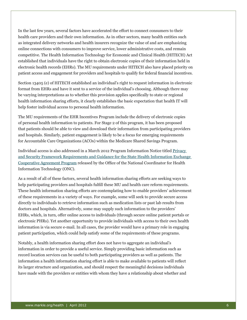In the last few years, several factors have accelerated the effort to connect consumers to their health care providers and their own information. As in other sectors, many health entities such as integrated delivery networks and health insurers recognize the value of and are emphasizing online connections with consumers to improve service, lower administrative costs, and remain competitive. The Health Information Technology for Economic and Clinical Health (HITECH) Act established that individuals have the right to obtain electronic copies of their information held in electronic health records (EHRs). The MU requirements under HITECH also have placed priority on patient access and engagement for providers and hospitals to qualify for federal financial incentives.

Section 13405 (e) of HITECH established an individual's right to request information in electronic format from EHRs and have it sent to a service of the individual's choosing. Although there may be varying interpretations as to whether this provision applies specifically to state or regional health information sharing efforts, it clearly establishes the basic expectation that health IT will help foster individual access to personal health information.

The MU requirements of the EHR Incentives Program include the delivery of electronic copies of personal health information to patients. For Stage 2 of this program, it has been proposed that patients should be able to view and download their information from participating providers and hospitals. Similarly, patient engagement is likely to be a focus for emerging requirements for Accountable Care Organizations (ACOs) within the Medicare Shared Savings Program.

Individual access is also addressed in a March 2012 Program Information Notice titled [Privacy](http://healthit.hhs.gov/portal/server.pt/gateway/PTARGS_0_0_8014_3335_21281_43/http%3B/wci-pubcontent/publish/onc/public_communities/_content/files/onc_hie_pin_003_final.pdf)  [and Security Framework Requirements and Guidance for the State Health Information Exchange](http://healthit.hhs.gov/portal/server.pt/gateway/PTARGS_0_0_8014_3335_21281_43/http%3B/wci-pubcontent/publish/onc/public_communities/_content/files/onc_hie_pin_003_final.pdf)  [Cooperative Agreement Program](http://healthit.hhs.gov/portal/server.pt/gateway/PTARGS_0_0_8014_3335_21281_43/http%3B/wci-pubcontent/publish/onc/public_communities/_content/files/onc_hie_pin_003_final.pdf) released by the Office of the National Coordinator for Health Information Technology (ONC).

As a result of all of these factors, several health information sharing efforts are seeking ways to help participating providers and hospitals fulfill these MU and health care reform requirements. These health information sharing efforts are contemplating how to enable providers' achievement of these requirements in a variety of ways. For example, some will seek to provide secure access directly to individuals to retrieve information such as medication lists or past lab results from doctors and hospitals. Alternatively, some may supply such information to the providers' EHRs, which, in turn, offer online access to individuals (through secure online patient portals or electronic PHRs). Yet another opportunity to provide individuals with access to their own health information is via secure e-mail. In all cases, the provider would have a primary role in engaging patient participation, which could help satisfy some of the requirements of these programs.

Notably, a health information sharing effort does not have to aggregate an individual's information in order to provide a useful service. Simply providing basic information such as record location services can be useful to both participating providers as well as patients. The information a health information sharing effort is able to make available to patients will reflect its larger structure and organization, and should respect the meaningful decisions individuals have made with the providers or entities with whom they have a relationship about whether and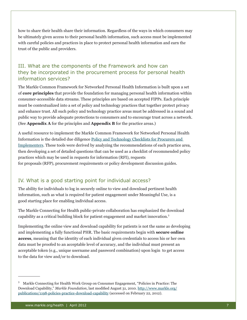how to share their health share their information. Regardless of the ways in which consumers may be ultimately given access to their personal health information, such access must be implemented with careful policies and practices in place to protect personal health information and earn the trust of the public and providers.

### III. What are the components of the Framework and how can they be incorporated in the procurement process for personal health information services?

The Markle Common Framework for Networked Personal Health Information is built upon a set of **core principles** that provide the foundation for managing personal health information within consumer-accessible data streams. These principles are based on accepted FIPPs. Each principle must be contextualized into a set of policy and technology practices that together protect privacy and enhance trust. All such policy and technology practice areas must be addressed in a sound and public way to provide adequate protections to consumers and to encourage trust across a network. (See **Appendix A** for the principles and **Appendix B** for the practice areas.)

A useful resource to implement the Markle Common Framework for Networked Personal Health Information is the detailed due diligence [Policy and Technology Checklists for Procurers and](http://www.markle.org/publications/1759-policy-and-technology-checklists-procurers-and-implementers)  [Implementers](http://www.markle.org/publications/1759-policy-and-technology-checklists-procurers-and-implementers). These tools were derived by analyzing the recommendations of each practice area, then developing a set of detailed questions that can be used as a checklist of recommended policy practices which may be used in requests for information (RFI), requests for proposals (RFP), procurement requirements or policy development discussion guides.

#### IV. What is a good starting point for individual access?

The ability for individuals to log in securely online to view and download pertinent health information, such as what is required for patient engagement under Meaningful Use, is a good starting place for enabling individual access.

The Markle Connecting for Health public-private collaboration has emphasized the download capability as a critical building block for patient engagement and market innovation.<sup>3</sup>

Implementing the online view and download capability for patients is not the same as developing and implementing a fully functional PHR. The basic requirements begin with **secure online access**, meaning that the identity of each individual given credentials to access his or her own data must be proofed to an acceptable level of accuracy, and the individual must present an acceptable token (e.g., unique username and password combination) upon login to get access to the data for view and/or to download.

 $3$  Markle Connecting for Health Work Group on Consumer Engagement, "Policies in Practice: The Download Capability," *Markle Foundation*, last modified August 31, 2010. [http://www.markle.org/](http://www.markle.org/publications/1198-policies-practice-download-capability) [publications/1198-policies-practice-download-capability](http://www.markle.org/publications/1198-policies-practice-download-capability) (accessed on February 22, 2012).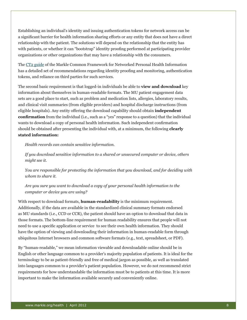Establishing an individual's identity and issuing authentication tokens for network access can be a significant barrier for health information sharing efforts or any entity that does not have a direct relationship with the patient. The solutions will depend on the relationship that the entity has with patients, or whether it can "bootstrap" identity proofing performed at participating provider organizations or other organizations that may have a relationship with the consumers.

The [CT2 g](http://www.markle.org/health/markle-common-framework/connecting-consumers/ct2)uide of the Markle Common Framework for Networked Personal Health Information has a detailed set of recommendations regarding identity proofing and monitoring, authentication tokens, and reliance on third parties for such services.

The second basic requirement is that logged-in individuals be able to **view and download** key information about themselves in human-readable formats. The MU patient engagement data sets are a good place to start, such as problem and medication lists, allergies, laboratory results, and clinical visit summaries (from eligible providers) and hospital discharge instructions (from eligible hospitals). Any entity offering the download capability should obtain **independent confirmation** from the individual (i.e., such as a "yes" response to a question) that the individual wants to download a copy of personal health information. Such independent confirmation should be obtained after presenting the individual with, at a minimum, the following **clearly stated information:**

*Health records can contain sensitive information.*

*If you download sensitive information to a shared or unsecured computer or device, others might see it.*

*You are responsible for protecting the information that you download, and for deciding with whom to share it.*

*Are you sure you want to download a copy of your personal health information to the computer or device you are using?*

With respect to download formats, **human-readability** is the minimum requirement. Additionally, if the data are available in the standardized clinical summary formats endorsed as MU standards (i.e., CCD or CCR), the patient should have an option to download that data in those formats. The bottom-line requirement for human readability ensures that people will not need to use a specific application or service to see their own health information. They should have the option of viewing and downloading their information in human-readable form through ubiquitous Internet browsers and common software formats (e.g., text, spreadsheet, or PDF).

By "human-readable," we mean information viewable and downloadable online should be in English or other language common to a provider's majority population of patients. It is ideal for the terminology to be as patient-friendly and free of medical jargon as possible, as well as translated into languages common to a provider's patient population. However, we do not recommend strict requirements for how understandable the information must be to patients at this time. It is more important to make the information available securely and conveniently online.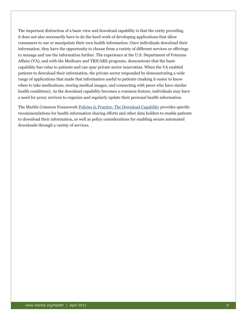The important distinction of a basic view and download capability is that the entity providing it does not also necessarily have to do the hard work of developing applications that allow consumers to use or manipulate their own health information. Once individuals download their information, they have the opportunity to choose from a variety of different services or offerings to manage and use the information further. The experience at the U.S. Department of Veterans Affairs (VA), and with the Medicare and TRICARE programs, demonstrate that the basic capability has value to patients and can spur private sector innovation. When the VA enabled patients to download their information, the private sector responded by demonstrating a wide range of applications that made that information useful to patients (making it easier to know when to take medications, storing medical images, and connecting with peers who have similar health conditions). As the download capability becomes a common feature, individuals may have a need for proxy services to organize and regularly update their personal health information.

The Markle Common Framework [Policies in Practice: The Download Capability](http://www.markle.org/publications/1198-policies-practice-download-capability) provides specific recommendations for health information sharing efforts and other data holders to enable patients to download their information, as well as policy considerations for enabling secure automated downloads through a variety of services.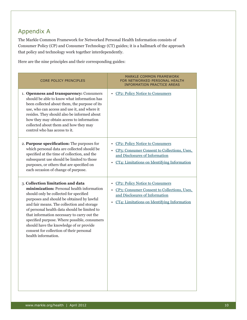## Appendix A

The Markle Common Framework for Networked Personal Health Information consists of Consumer Policy (CP) and Consumer Technology (CT) guides; it is a hallmark of the approach that policy and technology work together interdependently.

Here are the nine principles and their corresponding guides:

| <b>CORE POLICY PRINCIPLES</b>                                                                                                                                                                                                                                                                                                                                                                                                                                                    | <b>MARKLE COMMON FRAMEWORK</b><br>FOR NETWORKED PERSONAL HEALTH<br><b>INFORMATION PRACTICE AREAS</b>                                                                                               |
|----------------------------------------------------------------------------------------------------------------------------------------------------------------------------------------------------------------------------------------------------------------------------------------------------------------------------------------------------------------------------------------------------------------------------------------------------------------------------------|----------------------------------------------------------------------------------------------------------------------------------------------------------------------------------------------------|
| 1. Openness and transparency: Consumers<br>should be able to know what information has<br>been collected about them, the purpose of its<br>use, who can access and use it, and where it<br>resides. They should also be informed about<br>how they may obtain access to information<br>collected about them and how they may<br>control who has access to it.                                                                                                                    | • CP2: Policy Notice to Consumers                                                                                                                                                                  |
| 2. Purpose specification: The purposes for<br>which personal data are collected should be<br>specified at the time of collection, and the<br>subsequent use should be limited to those<br>purposes, or others that are specified on<br>each occasion of change of purpose.                                                                                                                                                                                                       | <b>CP2: Policy Notice to Consumers</b><br>٠<br>• CP3: Consumer Consent to Collections, Uses,<br>and Disclosures of Information<br>CT4: Limitations on Identifying Information<br>٠                 |
| 3. Collection limitation and data<br>minimization: Personal health information<br>should only be collected for specified<br>purposes and should be obtained by lawful<br>and fair means. The collection and storage<br>of personal health data should be limited to<br>that information necessary to carry out the<br>specified purpose. Where possible, consumers<br>should have the knowledge of or provide<br>consent for collection of their personal<br>health information. | <b>CP2: Policy Notice to Consumers</b><br>$\bullet$<br>• CP3: Consumer Consent to Collections, Uses,<br>and Disclosures of Information<br>CT4: Limitations on Identifying Information<br>$\bullet$ |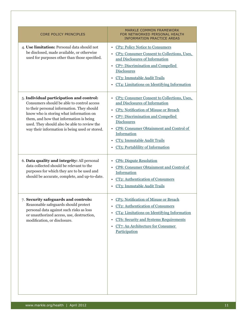| <b>CORE POLICY PRINCIPLES</b>                                                                                                                                                                                                                                                                                                | <b>MARKLE COMMON FRAMEWORK</b><br>FOR NETWORKED PERSONAL HEALTH<br><b>INFORMATION PRACTICE AREAS</b>                                                                                                                                                                                                                                          |
|------------------------------------------------------------------------------------------------------------------------------------------------------------------------------------------------------------------------------------------------------------------------------------------------------------------------------|-----------------------------------------------------------------------------------------------------------------------------------------------------------------------------------------------------------------------------------------------------------------------------------------------------------------------------------------------|
| 4. Use limitation: Personal data should not<br>be disclosed, made available, or otherwise<br>used for purposes other than those specified.                                                                                                                                                                                   | <b>CP2: Policy Notice to Consumers</b><br>٠<br>• CP3: Consumer Consent to Collections, Uses,<br>and Disclosures of Information<br>CP7: Discrimination and Compelled<br><b>Disclosures</b><br>CT3: Immutable Audit Trails<br>٠<br>CT4: Limitations on Identifying Information                                                                  |
| 5. Individual participation and control:<br>Consumers should be able to control access<br>to their personal information. They should<br>know who is storing what information on<br>them, and how that information is being<br>used. They should also be able to review the<br>way their information is being used or stored. | CP3: Consumer Consent to Collections, Uses,<br>$\bullet$<br>and Disclosures of Information<br>CP <sub>5</sub> : Notification of Misuse or Breach<br>CP7: Discrimination and Compelled<br>٠<br><b>Disclosures</b><br>CP8: Consumer Obtainment and Control of<br>Information<br>CT3: Immutable Audit Trails<br>CT5: Portablility of Information |
| 6. Data quality and integrity: All personal<br>data collected should be relevant to the<br>purposes for which they are to be used and<br>should be accurate, complete, and up-to-date.                                                                                                                                       | <b>CP6</b> : Dispute Resolution<br>٠<br>CP8: Consumer Obtainment and Control of<br>Information<br>CT2: Authentication of Consumers<br>CT3: Immutable Audit Trails                                                                                                                                                                             |
| 7. Security safeguards and controls:<br>Reasonable safeguards should protect<br>personal data against such risks as loss<br>or unauthorized access, use, destruction,<br>modification, or disclosure.                                                                                                                        | CP5: Notification of Misuse or Breach<br>٠<br>CT2: Authentication of Consumers<br>CT4: Limitations on Identifying Information<br>٠<br><b>CT6: Security and Systems Requirements</b><br>٠<br>CT7: An Architecture for Consumer<br>$\bullet$<br>Participation                                                                                   |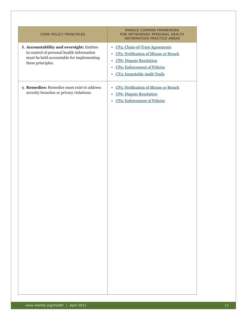| CORE POLICY PRINCIPLES                                                                                                                                   | MARKLE COMMON FRAMEWORK<br>FOR NETWORKED PERSONAL HEALTH<br><b>INFORMATION PRACTICE AREAS</b>                                                                                                                              |
|----------------------------------------------------------------------------------------------------------------------------------------------------------|----------------------------------------------------------------------------------------------------------------------------------------------------------------------------------------------------------------------------|
| 8. Accountability and oversight: Entities<br>in control of personal health information<br>must be held accountable for implementing<br>these principles. | • CP4: Chain-of-Trust Agreements<br>CP5: Notification of Misuse or Breach<br>$\bullet$<br><b>CP6: Dispute Resolution</b><br>$\bullet$<br><b>CP9: Enforcement of Policies</b><br>$\bullet$<br>• CT3: Immutable Audit Trails |
| 9. Remedies: Remedies must exist to address<br>security breaches or privacy violations.                                                                  | CP5: Notification of Misuse or Breach<br>$\bullet$<br><b>CP6: Dispute Resolution</b><br>$\bullet$<br>CP9: Enforcement of Policies<br>$\bullet$                                                                             |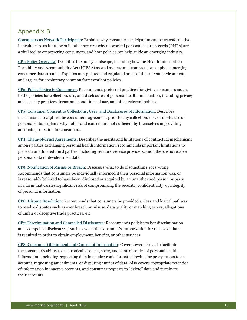## Appendix B

[Consumers as Network Participants:](http://www.markle.org/health/markle-common-framework/connecting-consumers/network-participants) Explains why consumer participation can be transformative in health care as it has been in other sectors; why networked personal health records (PHRs) are a vital tool to empowering consumers, and how policies can help guide an emerging industry.

[CP1: Policy Overview:](http://www.markle.org/health/markle-common-framework/connecting-consumers/cp1) Describes the policy landscape, including how the Health Information Portability and Accountability Act (HIPAA) as well as state and contract laws apply to emerging consumer data streams. Explains unregulated and regulated areas of the current environment, and argues for a voluntary common framework of policies.

[CP2: Policy Notice to Consumers:](http://www.markle.org/health/markle-common-framework/connecting-consumers/cp2) Recommends preferred practices for giving consumers access to the policies for collection, use, and disclosures of personal health information, including privacy and security practices, terms and conditions of use, and other relevant policies.

[CP3: Consumer Consent to Collections, Uses, and Disclosures of Information:](http://www.markle.org/health/markle-common-framework/connecting-consumers/cp3) Describes mechanisms to capture the consumer's agreement prior to any collection, use, or disclosure of personal data; explains why notice and consent are not sufficient by themselves in providing adequate protection for consumers.

[CP4: Chain-of-Trust Agreements:](http://www.markle.org/health/markle-common-framework/connecting-consumers/cp4) Describes the merits and limitations of contractual mechanisms among parties exchanging personal health information; recommends important limitations to place on unaffiliated third parties, including vendors, service providers, and others who receive personal data or de-identified data.

[CP5: Notification of Misuse or Breach:](http://www.markle.org/health/markle-common-framework/connecting-consumers/cp5) Discusses what to do if something goes wrong. Recommends that consumers be individually informed if their personal information was, or is reasonably believed to have been, disclosed or acquired by an unauthorized person or party in a form that carries significant risk of compromising the security, confidentiality, or integrity of personal information.

[CP6: Dispute Resolution](http://www.markle.org/health/markle-common-framework/connecting-consumers/cp6): Recommends that consumers be provided a clear and logical pathway to resolve disputes such as over breach or misuse, data quality or matching errors, allegations of unfair or deceptive trade practices, etc.

[CP7: Discrimination and Compelled Disclosures:](http://www.markle.org/health/markle-common-framework/connecting-consumers/cp7) Recommends policies to bar discrimination and "compelled disclosures," such as when the consumer's authorization for release of data is required in order to obtain employment, benefits, or other services.

[CP8: Consumer Obtainment and Control of Information:](http://www.markle.org/health/markle-common-framework/connecting-consumers/cp8) Covers several areas to facilitate the consumer's ability to electronically collect, store, and control copies of personal health information, including requesting data in an electronic format, allowing for proxy access to an account, requesting amendments, or disputing entries of data. Also covers appropriate retention of information in inactive accounts, and consumer requests to "delete" data and terminate their accounts.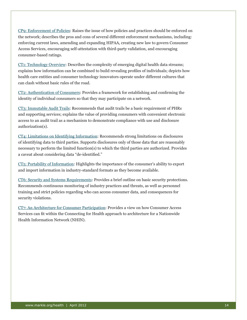[CP9: Enforcement of Policies:](http://www.markle.org/health/markle-common-framework/connecting-consumers/cp9) Raises the issue of how policies and practices should be enforced on the network; describes the pros and cons of several different enforcement mechanisms, including: enforcing current laws, amending and expanding HIPAA, creating new law to govern Consumer Access Services, encouraging self-attestation with third-party validation, and encouraging consumer-based ratings.

[CT1: Technology Overview](http://www.markle.org/health/markle-common-framework/connecting-consumers/ct1): Describes the complexity of emerging digital health data streams; explains how information can be combined to build revealing profiles of individuals; depicts how health care entities and consumer technology innovators operate under different cultures that can clash without basic rules of the road.

[CT2: Authentication of Consumers](http://www.markle.org/health/markle-common-framework/connecting-consumers/ct2): Provides a framework for establishing and confirming the identity of individual consumers so that they may participate on a network.

[CT3: Immutable Audit Trails:](http://www.markle.org/health/markle-common-framework/connecting-consumers/ct3) Recommends that audit trails be a basic requirement of PHRs and supporting services; explains the value of providing consumers with convenient electronic access to an audit trail as a mechanism to demonstrate compliance with use and disclosure authorization(s).

[CT4: Limitations on Identifying Information](http://www.markle.org/health/markle-common-framework/connecting-consumers/ct4): Recommends strong limitations on disclosures of identifying data to third parties. Supports disclosures only of those data that are reasonably necessary to perform the limited function(s) to which the third parties are authorized. Provides a caveat about considering data "de-identified."

[CT5: Portability of Information:](http://www.markle.org/health/markle-common-framework/connecting-consumers/ct5) Highlights the importance of the consumer's ability to export and import information in industry-standard formats as they become available.

[CT6: Security and Systems Requirements:](http://www.markle.org/health/markle-common-framework/connecting-consumers/ct6) Provides a brief outline on basic security protections. Recommends continuous monitoring of industry practices and threats, as well as personnel training and strict policies regarding who can access consumer data, and consequences for security violations.

[CT7: An Architecture for Consumer Participation](http://www.markle.org/health/markle-common-framework/connecting-consumers/ct7): Provides a view on how Consumer Access Services can fit within the Connecting for Health approach to architecture for a Nationwide Health Information Network (NHIN).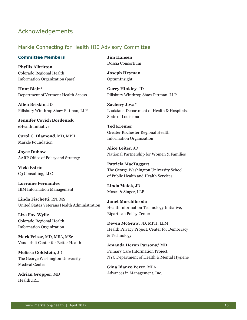### <span id="page-14-0"></span>Acknowledgements

#### Markle Connecting for Health HIE Advisory Committee

#### **Committee Members**

**Phyllis Albritton** Colorado Regional Health Information Organization (past)

**Hunt Blair\***  Department of Vermont Health Access

**Allen Briskin**, JD Pillsbury Winthrop Shaw Pittman, LLP

**Jennifer Covich Bordenick**  eHealth Initiative

**Carol C. Diamond**, MD, MPH Markle Foundation

**Joyce Dubow** AARP Office of Policy and Strategy

**Vicki Estrin** C3 Consulting, LLC

**Lorraine Fernandes** IBM Information Management

**Linda Fischetti**, RN, MS United States Veterans Health Administration

**Liza Fox-Wylie** Colorado Regional Health Information Organization

**Mark Frisse**, MD, MBA, MSc Vanderbilt Center for Better Health

**Melissa Goldstein**, JD The George Washington University Medical Center

**Adrian Gropper**, MD HealthURL

**Jim Hansen** Dossia Consortium

**Joseph Heyman** OptumInsight

**Gerry Hinkley**, JD Pillsbury Winthrop Shaw Pittman, LLP

**Zachery Jiwa\***  Louisiana Department of Health & Hospitals, State of Louisiana

**Ted Kremer** Greater Rochester Regional Health Information Organization

**Alice Leiter**, JD National Partnership for Women & Families

**Patricia MacTaggart** The George Washington University School of Public Health and Health Services

**Linda Malek**, JD Moses & Singer, LLP

**Janet Marchibroda** Health Information Technology Initiative, Bipartisan Policy Center

**Deven McGraw**, JD, MPH, LLM Health Privacy Project, Center for Democracy & Technology

**Amanda Heron Parsons**,**\*** MD Primary Care Information Project, NYC Department of Health & Mental Hygiene

**Gina Bianco Perez**, MPA Advances in Management, Inc.